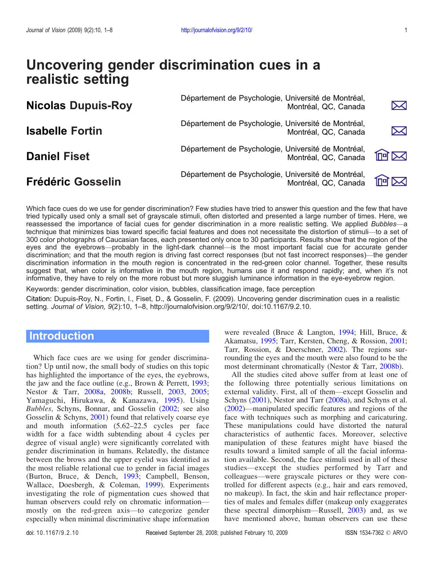# Uncovering gender discrimination cues in a realistic setting

| <b>Nicolas Dupuis-Roy</b> | Département de Psychologie, Université de Montréal, | Montréal, QC, Canada | $\bm{\nabla}$ |
|---------------------------|-----------------------------------------------------|----------------------|---------------|
| <b>Isabelle Fortin</b>    | Département de Psychologie, Université de Montréal, | Montréal, QC, Canada | $\bm{\times}$ |
| <b>Daniel Fiset</b>       | Département de Psychologie, Université de Montréal, | Montréal, QC, Canada | 何区            |
| <b>Frédéric Gosselin</b>  | Département de Psychologie, Université de Montréal, | Montréal, QC, Canada | $\ln \infty$  |

Which face cues do we use for gender discrimination? Few studies have tried to answer this question and the few that have tried typically used only a small set of grayscale stimuli, often distorted and presented a large number of times. Here, we reassessed the importance of facial cues for gender discrimination in a more realistic setting. We applied Bubbles-a technique that minimizes bias toward specific facial features and does not necessitate the distortion of stimuli--- to a set of 300 color photographs of Caucasian faces, each presented only once to 30 participants. Results show that the region of the eyes and the eyebrows—probably in the light-dark channel—is the most important facial cue for accurate gender discrimination; and that the mouth region is driving fast correct responses (but not fast incorrect responses)—the gender discrimination information in the mouth region is concentrated in the red-green color channel. Together, these results suggest that, when color is informative in the mouth region, humans use it and respond rapidly; and, when it's not informative, they have to rely on the more robust but more sluggish luminance information in the eye-eyebrow region.

Keywords: gender discrimination, color vision, bubbles, classification image, face perception

Citation: Dupuis-Roy, N., Fortin, I., Fiset, D., & Gosselin, F. (2009). Uncovering gender discrimination cues in a realistic setting. Journal of Vision, 9(2):10, 1–8, http://journalofvision.org/9/2/10/, doi:10.1167/9.2.10.

## **Introduction**

Which face cues are we using for gender discrimination? Up until now, the small body of studies on this topic has highlighted the importance of the eyes, the eyebrows, the jaw and the face outline (e.g., Brown & Perrett, [1993](#page-6-0); Nestor & Tarr, [2008a](#page-6-0), [2008b](#page-6-0); Russell, [2003,](#page-6-0) [2005](#page-6-0); Yamaguchi, Hirukawa, & Kanazawa, [1995](#page-7-0)). Using Bubbles, Schyns, Bonnar, and Gosselin [\(2002](#page-6-0); see also Gosselin & Schyns, [2001](#page-6-0)) found that relatively coarse eye and mouth information (5.62–22.5 cycles per face width for a face width subtending about 4 cycles per degree of visual angle) were significantly correlated with gender discrimination in humans. Relatedly, the distance between the brows and the upper eyelid was identified as the most reliable relational cue to gender in facial images (Burton, Bruce, & Dench, [1993;](#page-6-0) Campbell, Benson, Wallace, Doesbergh, & Coleman, [1999](#page-6-0)). Experiments investigating the role of pigmentation cues showed that human observers could rely on chromatic informationmostly on the red-green axis—to categorize gender especially when minimal discriminative shape information

were revealed (Bruce & Langton, [1994;](#page-6-0) Hill, Bruce, & Akamatsu, [1995](#page-6-0); Tarr, Kersten, Cheng, & Rossion, [2001;](#page-6-0) Tarr, Rossion, & Doerschner, [2002](#page-6-0)). The regions surrounding the eyes and the mouth were also found to be the most determinant chromatically (Nestor & Tarr, [2008b](#page-6-0)).

All the studies cited above suffer from at least one of the following three potentially serious limitations on external validity. First, all of them-except Gosselin and Schyns [\(2001\)](#page-6-0), Nestor and Tarr [\(2008a](#page-6-0)), and Schyns et al.  $(2002)$  $(2002)$ —manipulated specific features and regions of the face with techniques such as morphing and caricaturing. These manipulations could have distorted the natural characteristics of authentic faces. Moreover, selective manipulation of these features might have biased the results toward a limited sample of all the facial information available. Second, the face stimuli used in all of these studies—except the studies performed by Tarr and colleagues—were grayscale pictures or they were controlled for different aspects (e.g., hair and ears removed, no makeup). In fact, the skin and hair reflectance properties of males and females differ (makeup only exaggerates these spectral dimorphism—Russell,  $2003$ ) and, as we have mentioned above, human observers can use these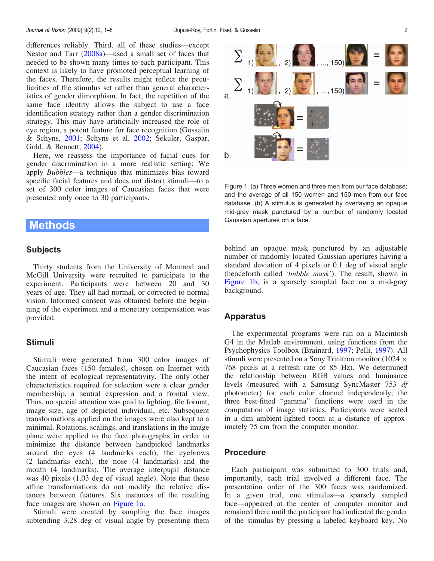differences reliably. Third, all of these studies—except Nestor and Tarr  $(2008a)$ —used a small set of faces that needed to be shown many times to each participant. This context is likely to have promoted perceptual learning of the faces. Therefore, the results might reflect the peculiarities of the stimulus set rather than general characteristics of gender dimorphism. In fact, the repetition of the same face identity allows the subject to use a face identification strategy rather than a gender discrimination strategy. This may have artificially increased the role of eye region, a potent feature for face recognition (Gosselin & Schyns, [2001](#page-6-0); Schyns et al, [2002;](#page-6-0) Sekuler, Gaspar, Gold, & Bennett, [2004\)](#page-6-0).

Here, we reassess the importance of facial cues for gender discrimination in a more realistic setting: We apply *Bubbles*—a technique that minimizes bias toward specific facial features and does not distort stimuli-to a set of 300 color images of Caucasian faces that were presented only once to 30 participants.

### Methods

#### **Subjects**

Thirty students from the University of Montreal and McGill University were recruited to participate to the experiment. Participants were between 20 and 30 years of age. They all had normal, or corrected to normal vision. Informed consent was obtained before the beginning of the experiment and a monetary compensation was provided.

#### Stimuli

Stimuli were generated from 300 color images of Caucasian faces (150 females), chosen on Internet with the intent of ecological representativity. The only other characteristics required for selection were a clear gender membership, a neutral expression and a frontal view. Thus, no special attention was paid to lighting, file format, image size, age of depicted individual, etc. Subsequent transformations applied on the images were also kept to a minimal. Rotations, scalings, and translations in the image plane were applied to the face photographs in order to minimize the distance between handpicked landmarks around the eyes (4 landmarks each), the eyebrows (2 landmarks each), the nose (4 landmarks) and the mouth (4 landmarks). The average interpupil distance was 40 pixels (1.03 deg of visual angle). Note that these affine transformations do not modify the relative distances between features. Six instances of the resulting face images are shown on Figure 1a.

Stimuli were created by sampling the face images subtending 3.28 deg of visual angle by presenting them



Figure 1. (a) Three women and three men from our face database; and the average of all 150 women and 150 men from our face database. (b) A stimulus is generated by overlaying an opaque mid-gray mask punctured by a number of randomly located Gaussian apertures on a face.

behind an opaque mask punctured by an adjustable number of randomly located Gaussian apertures having a standard deviation of 4 pixels or 0.1 deg of visual angle (henceforth called 'bubble mask'). The result, shown in Figure 1b, is a sparsely sampled face on a mid-gray background.

#### Apparatus

The experimental programs were run on a Macintosh G4 in the Matlab environment, using functions from the Psychophysics Toolbox (Brainard, [1997;](#page-5-0) Pelli, [1997\)](#page-6-0). All stimuli were presented on a Sony Trinitron monitor (1024  $\times$ 768 pixels at a refresh rate of 85 Hz). We determined the relationship between RGB values and luminance levels (measured with a Samsung SyncMaster 753 df photometer) for each color channel independently; the three best-fitted "gamma" functions were used in the computation of image statistics. Participants were seated in a dim ambient-lighted room at a distance of approximately 75 cm from the computer monitor.

### Procedure

Each participant was submitted to 300 trials and, importantly, each trial involved a different face. The presentation order of the 300 faces was randomized. In a given trial, one stimulus—a sparsely sampled face—appeared at the center of computer monitor and remained there until the participant had indicated the gender of the stimulus by pressing a labeled keyboard key. No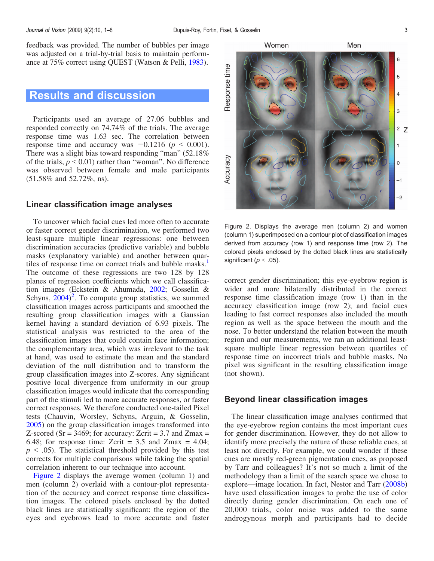feedback was provided. The number of bubbles per image was adjusted on a trial-by-trial basis to maintain performance at 75% correct using QUEST (Watson & Pelli, [1983](#page-7-0)).

# Results and discussion

Participants used an average of 27.06 bubbles and responded correctly on 74.74% of the trials. The average response time was 1.63 sec. The correlation between response time and accuracy was  $-0.1216$  ( $p < 0.001$ ). There was a slight bias toward responding "man" (52.18% of the trials,  $p < 0.01$ ) rather than "woman". No difference was observed between female and male participants (51.58% and 52.72%, ns).

### Linear classification image analyses

To uncover which facial cues led more often to accurate or faster correct gender discrimination, we performed two least-square multiple linear regressions: one between discrimination accuracies (predictive variable) and bubble masks (explanatory variable) and another between quar-tiles of response time on correct trials and bubble masks.<sup>[1](#page-5-0)</sup> The outcome of these regressions are two 128 by 128 planes of regression coefficients which we call classification images (Eckstein & Ahumada, [2002](#page-6-0); Gosselin & Schyns,  $2004$ <sup>[2](#page-5-0)</sup>. To compute group statistics, we summed classification images across participants and smoothed the resulting group classification images with a Gaussian kernel having a standard deviation of 6.93 pixels. The statistical analysis was restricted to the area of the classification images that could contain face information; the complementary area, which was irrelevant to the task at hand, was used to estimate the mean and the standard deviation of the null distribution and to transform the group classification images into Z-scores. Any significant positive local divergence from uniformity in our group classification images would indicate that the corresponding part of the stimuli led to more accurate responses, or faster correct responses. We therefore conducted one-tailed Pixel tests (Chauvin, Worsley, Schyns, Arguin, & Gosselin, [2005\)](#page-6-0) on the group classification images transformed into Z-scored ( $Sr = 3469$ ; for accuracy: Zcrit = 3.7 and Zmax = 6.48; for response time: Zcrit =  $3.5$  and Zmax =  $4.04$ ;  $p \leq 0.05$ ). The statistical threshold provided by this test corrects for multiple comparisons while taking the spatial correlation inherent to our technique into account.

Figure 2 displays the average women (column 1) and men (column 2) overlaid with a contour-plot representation of the accuracy and correct response time classification images. The colored pixels enclosed by the dotted black lines are statistically significant: the region of the eyes and eyebrows lead to more accurate and faster



Figure 2. Displays the average men (column 2) and women (column 1) superimposed on a contour plot of classification images derived from accuracy (row 1) and response time (row 2). The colored pixels enclosed by the dotted black lines are statistically significant ( $p < .05$ ).

correct gender discrimination; this eye-eyebrow region is wider and more bilaterally distributed in the correct response time classification image (row 1) than in the accuracy classification image (row 2); and facial cues leading to fast correct responses also included the mouth region as well as the space between the mouth and the nose. To better understand the relation between the mouth region and our measurements, we ran an additional leastsquare multiple linear regression between quartiles of response time on incorrect trials and bubble masks. No pixel was significant in the resulting classification image (not shown).

#### Beyond linear classification images

The linear classification image analyses confirmed that the eye-eyebrow region contains the most important cues for gender discrimination. However, they do not allow to identify more precisely the nature of these reliable cues, at least not directly. For example, we could wonder if these cues are mostly red-green pigmentation cues, as proposed by Tarr and colleagues? It's not so much a limit of the methodology than a limit of the search space we chose to explore—image location. In fact, Nestor and Tarr  $(2008b)$  $(2008b)$  $(2008b)$ have used classification images to probe the use of color directly during gender discrimination. On each one of 20,000 trials, color noise was added to the same androgynous morph and participants had to decide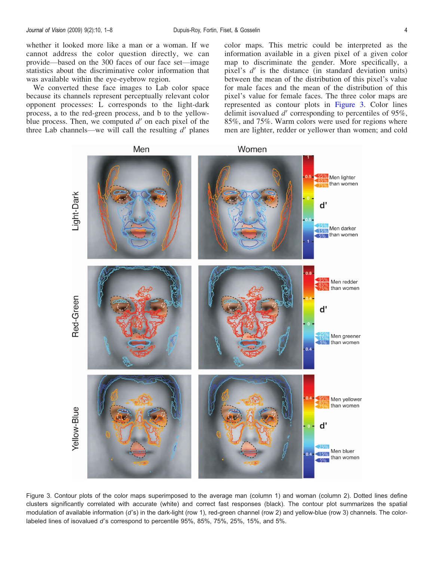whether it looked more like a man or a woman. If we cannot address the color question directly, we can provide—based on the 300 faces of our face set—image statistics about the discriminative color information that was available within the eye-eyebrow region.

We converted these face images to Lab color space because its channels represent perceptually relevant color opponent processes: L corresponds to the light-dark process, a to the red-green process, and b to the yellowblue process. Then, we computed  $d'$  on each pixel of the three Lab channels—we will call the resulting  $d'$  planes color maps. This metric could be interpreted as the information available in a given pixel of a given color map to discriminate the gender. More specifically, a pixel's  $d'$  is the distance (in standard deviation units) between the mean of the distribution of this pixel's value for male faces and the mean of the distribution of this pixel's value for female faces. The three color maps are represented as contour plots in Figure 3. Color lines delimit isovalued  $d'$  corresponding to percentiles of 95%, 85%, and 75%. Warm colors were used for regions where men are lighter, redder or yellower than women; and cold



Figure 3. Contour plots of the color maps superimposed to the average man (column 1) and woman (column 2). Dotted lines define clusters significantly correlated with accurate (white) and correct fast responses (black). The contour plot summarizes the spatial modulation of available information (d's) in the dark-light (row 1), red-green channel (row 2) and yellow-blue (row 3) channels. The colorlabeled lines of isovalued d's correspond to percentile 95%, 85%, 75%, 25%, 15%, and 5%.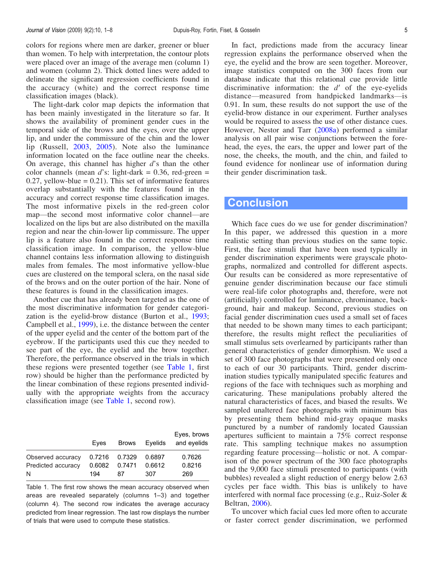colors for regions where men are darker, greener or bluer than women. To help with interpretation, the contour plots were placed over an image of the average men (column 1) and women (column 2). Thick dotted lines were added to delineate the significant regression coefficients found in the accuracy (white) and the correct response time classification images (black).

The light-dark color map depicts the information that has been mainly investigated in the literature so far. It shows the availability of prominent gender cues in the temporal side of the brows and the eyes, over the upper lip, and under the commissure of the chin and the lower lip (Russell, [2003](#page-6-0), [2005\)](#page-6-0). Note also the luminance information located on the face outline near the cheeks. On average, this channel has higher  $d$ 's than the other color channels (mean d's: light-dark =  $0.36$ , red-green =  $0.27$ , yellow-blue =  $0.21$ ). This set of informative features overlap substantially with the features found in the accuracy and correct response time classification images. The most informative pixels in the red-green color map—the second most informative color channel—are localized on the lips but are also distributed on the maxilla region and near the chin-lower lip commissure. The upper lip is a feature also found in the correct response time classification image. In comparison, the yellow-blue channel contains less information allowing to distinguish males from females. The most informative yellow-blue cues are clustered on the temporal sclera, on the nasal side of the brows and on the outer portion of the hair. None of these features is found in the classification images.

Another cue that has already been targeted as the one of the most discriminative information for gender categorization is the eyelid-brow distance (Burton et al., [1993](#page-6-0); Campbell et al., [1999\)](#page-6-0), i.e. the distance between the center of the upper eyelid and the center of the bottom part of the eyebrow. If the participants used this cue they needed to see part of the eye, the eyelid and the brow together. Therefore, the performance observed in the trials in which these regions were presented together (see Table 1, first row) should be higher than the performance predicted by the linear combination of these regions presented individually with the appropriate weights from the accuracy classification image (see Table 1, second row).

|                                              | Eves          |                               | Brows Eyelids           | Eyes, brows<br>and eyelids |
|----------------------------------------------|---------------|-------------------------------|-------------------------|----------------------------|
| Observed accuracy<br>Predicted accuracy<br>N | 0.6082<br>194 | 0.7216 0.7329<br>0.7471<br>87 | 0.6897<br>0.6612<br>307 | 0.7626<br>0.8216<br>269    |

Table 1. The first row shows the mean accuracy observed when areas are revealed separately (columns 1–3) and together (column 4). The second row indicates the average accuracy predicted from linear regression. The last row displays the number of trials that were used to compute these statistics.

In fact, predictions made from the accuracy linear regression explains the performance observed when the eye, the eyelid and the brow are seen together. Moreover, image statistics computed on the 300 faces from our database indicate that this relational cue provide little discriminative information: the  $d'$  of the eye-eyelids distance—measured from handpicked landmarks—is 0.91. In sum, these results do not support the use of the eyelid-brow distance in our experiment. Further analyses would be required to assess the use of other distance cues. However, Nestor and Tarr ([2008a\)](#page-6-0) performed a similar analysis on all pair wise conjunctions between the forehead, the eyes, the ears, the upper and lower part of the nose, the cheeks, the mouth, and the chin, and failed to found evidence for nonlinear use of information during their gender discrimination task.

### **Conclusion**

Which face cues do we use for gender discrimination? In this paper, we addressed this question in a more realistic setting than previous studies on the same topic. First, the face stimuli that have been used typically in gender discrimination experiments were grayscale photographs, normalized and controlled for different aspects. Our results can be considered as more representative of genuine gender discrimination because our face stimuli were real-life color photographs and, therefore, were not (artificially) controlled for luminance, chrominance, background, hair and makeup. Second, previous studies on facial gender discrimination cues used a small set of faces that needed to be shown many times to each participant; therefore, the results might reflect the peculiarities of small stimulus sets overlearned by participants rather than general characteristics of gender dimorphism. We used a set of 300 face photographs that were presented only once to each of our 30 participants. Third, gender discrimination studies typically manipulated specific features and regions of the face with techniques such as morphing and caricaturing. These manipulations probably altered the natural characteristics of faces, and biased the results. We sampled unaltered face photographs with minimum bias by presenting them behind mid-gray opaque masks punctured by a number of randomly located Gaussian apertures sufficient to maintain a 75% correct response rate. This sampling technique makes no assumption regarding feature processing—holistic or not. A comparison of the power spectrum of the 300 face photographs and the 9,000 face stimuli presented to participants (with bubbles) revealed a slight reduction of energy below 2.63 cycles per face width. This bias is unlikely to have interfered with normal face processing (e.g., Ruiz-Soler & Beltran, [2006](#page-6-0)).

To uncover which facial cues led more often to accurate or faster correct gender discrimination, we performed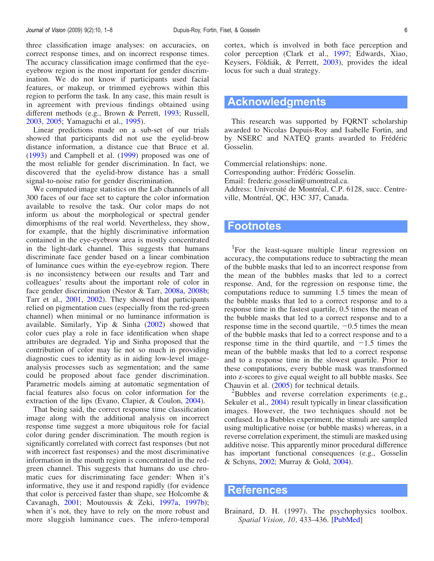<span id="page-5-0"></span>three classification image analyses: on accuracies, on correct response times, and on incorrect response times. The accuracy classification image confirmed that the eyeeyebrow region is the most important for gender discrimination. We do not know if participants used facial features, or makeup, or trimmed eyebrows within this region to perform the task. In any case, this main result is in agreement with previous findings obtained using different methods (e.g., Brown & Perrett, [1993;](#page-6-0) Russell, [2003,](#page-6-0) [2005](#page-6-0); Yamaguchi et al., [1995\)](#page-7-0).

Linear predictions made on a sub-set of our trials showed that participants did not use the eyelid-brow distance information, a distance cue that Bruce et al. ([1993\)](#page-6-0) and Campbell et al. ([1999\)](#page-6-0) proposed was one of the most reliable for gender discrimination. In fact, we discovered that the eyelid-brow distance has a small signal-to-noise ratio for gender discrimination.

We computed image statistics on the Lab channels of all 300 faces of our face set to capture the color information available to resolve the task. Our color maps do not inform us about the morphological or spectral gender dimorphisms of the real world. Nevertheless, they show, for example, that the highly discriminative information contained in the eye-eyebrow area is mostly concentrated in the light-dark channel. This suggests that humans discriminate face gender based on a linear combination of luminance cues within the eye-eyebrow region. There is no inconsistency between our results and Tarr and colleagues' results about the important role of color in face gender discrimination (Nestor & Tarr, [2008a,](#page-6-0) [2008b](#page-6-0); Tarr et al., [2001,](#page-6-0) [2002](#page-6-0)). They showed that participants relied on pigmentation cues (especially from the red-green channel) when minimal or no luminance information is available. Similarly, Yip & Sinha [\(2002](#page-7-0)) showed that color cues play a role in face identification when shape attributes are degraded. Yip and Sinha proposed that the contribution of color may lie not so much in providing diagnostic cues to identity as in aiding low-level imageanalysis processes such as segmentation; and the same could be proposed about face gender discrimination. Parametric models aiming at automatic segmentation of facial features also focus on color information for the extraction of the lips (Evano, Clapier, & Coulon, [2004](#page-6-0)).

That being said, the correct response time classification image along with the additional analysis on incorrect response time suggest a more ubiquitous role for facial color during gender discrimination. The mouth region is significantly correlated with correct fast responses (but not with incorrect fast responses) and the most discriminative information in the mouth region is concentrated in the redgreen channel. This suggests that humans do use chromatic cues for discriminating face gender: When it's informative, they use it and respond rapidly (for evidence that color is perceived faster than shape, see Holcombe & Cavanagh, [2001](#page-6-0); Moutoussis & Zeki, [1997a,](#page-6-0) [1997b\)](#page-6-0); when it's not, they have to rely on the more robust and more sluggish luminance cues. The infero-temporal

cortex, which is involved in both face perception and color perception (Clark et al., [1997;](#page-6-0) Edwards, Xiao, Keysers, Földiák, & Perrett, [2003\)](#page-6-0), provides the ideal locus for such a dual strategy.

### Acknowledgments

This research was supported by FQRNT scholarship awarded to Nicolas Dupuis-Roy and Isabelle Fortin, and by NSERC and NATEO grants awarded to Frédéric Gosselin.

Commercial relationships: none. Corresponding author: Frédéric Gosselin. Email: frederic.gosselin@umontreal.ca. Address: Université de Montréal, C.P. 6128, succ. Centreville, Montréal, QC, H3C 3J7, Canada.

### Footnotes

<sup>1</sup>For the least-square multiple linear regression on accuracy, the computations reduce to subtracting the mean of the bubble masks that led to an incorrect response from the mean of the bubbles masks that led to a correct response. And, for the regression on response time, the computations reduce to summing 1.5 times the mean of the bubble masks that led to a correct response and to a response time in the fastest quartile, 0.5 times the mean of the bubble masks that led to a correct response and to a response time in the second quartile,  $-0.5$  times the mean of the bubble masks that led to a correct response and to a response time in the third quartile, and  $-1.5$  times the mean of the bubble masks that led to a correct response and to a response time in the slowest quartile. Prior to these computations, every bubble mask was transformed into z-scores to give equal weight to all bubble masks. See Chauvin et al.  $(2005)$  for technical details.

 $\mu^2$ Bubbles and reverse correlation experiments (e.g., Sekuler et al., [2004](#page-6-0)) result typically in linear classification images. However, the two techniques should not be confused. In a Bubbles experiment, the stimuli are sampled using multiplicative noise (or bubble masks) whereas, in a reverse correlation experiment, the stimuli are masked using additive noise. This apparently minor procedural difference has important functional consequences (e.g., Gosselin & Schyns, [2002](#page-6-0); Murray & Gold, [2004\)](#page-6-0).

### References

Brainard, D. H. (1997). The psychophysics toolbox. Spatial Vision, 10, 433–436. [\[PubMed](http://www.ncbi.nlm.nih.gov/pubmed/9176952?ordinalpos=7&itool=EntrezSystem2.PEntrez.Pubmed.Pubmed_ResultsPanel.Pubmed_DefaultReportPanel.Pubmed_RVDocSum)]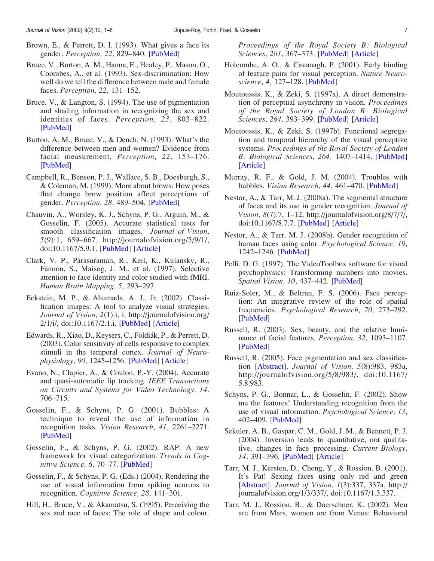- <span id="page-6-0"></span>Brown, E., & Perrett, D. I. (1993). What gives a face its gender. Perception, 22, 829–840. [\[PubMed](http://www.ncbi.nlm.nih.gov/pubmed/8115240?ordinalpos=7&itool=EntrezSystem2.PEntrez.Pubmed.Pubmed_ResultsPanel.Pubmed_DefaultReportPanel.Pubmed_RVDocSum)]
- Bruce, V., Burton, A. M., Hanna, E., Healey, P., Mason, O., Coombes, A., et al. (1993). Sex-discrimination: How well do we tell the difference between male and female faces. Perception, 22, 131–152.
- Bruce, V., & Langton, S. (1994). The use of pigmentation and shading information in recognizing the sex and identities of faces. Perception, 23, 803–822. [\[PubMed](http://www.ncbi.nlm.nih.gov/pubmed/7845771?ordinalpos=39&itool=EntrezSystem2.PEntrez.Pubmed.Pubmed_ResultsPanel.Pubmed_DefaultReportPanel.Pubmed_RVDocSum)]
- Burton, A. M., Bruce, V., & Dench, N. (1993). What's the difference between men and women? Evidence from facial measurement. *Perception*, 22, 153-176. [\[PubMed](http://www.ncbi.nlm.nih.gov/pubmed/8474841?ordinalpos=3&itool=EntrezSystem2.PEntrez.Pubmed.Pubmed_ResultsPanel.Pubmed_DefaultReportPanel.Pubmed_RVDocSum)]
- Campbell, R., Benson, P. J., Wallace, S. B., Doesbergh, S., & Coleman, M. (1999). More about brows: How poses that change brow position affect perceptions of gender. Perception, 28, 489-504. [[PubMed\]](http://www.ncbi.nlm.nih.gov/pubmed/10664789?ordinalpos=24&itool=EntrezSystem2.PEntrez.Pubmed.Pubmed_ResultsPanel.Pubmed_DefaultReportPanel.Pubmed_RVDocSum)
- Chauvin, A., Worsley, K. J., Schyns, P. G., Arguin, M., & Gosselin, F. (2005). Accurate statistical tests for smooth classification images. Journal of Vision, 5(9):1, 659–667, http://journalofvision.org/5/9/1/, doi:10.1167/5.9.1. [\[PubMed](http://www.ncbi.nlm.nih.gov/pubmed/16356076?ordinalpos=19&itool=EntrezSystem2.PEntrez.Pubmed.Pubmed_ResultsPanel.Pubmed_DefaultReportPanel.Pubmed_RVDocSum)] [\[Article\]](http://journalofvision.org/5/9/1/)
- Clark, V. P., Parasuraman, R., Keil, K., Kulansky, R., Fannon, S., Maisog, J. M., et al. (1997). Selective attention to face identity and color studied with fMRI. Human Brain Mapping, 5, 293–297.
- Eckstein, M. P., & Ahumada, A. J., Jr. (2002). Classification images: A tool to analyze visual strategies. Journal of Vision, 2(1):i, i, http://journalofvision.org/ 2/1/i/, doi:10.1167/2.1.i. [[PubMed\]](http://www.ncbi.nlm.nih.gov/pubmed/12678601?ordinalpos=4&itool=EntrezSystem2.PEntrez.Pubmed.Pubmed_ResultsPanel.Pubmed_DefaultReportPanel.Pubmed_RVDocSum) [[Article](http://journalofvision.org/2/1/i/)]
- Edwards, R., Xiao, D., Keysers, C., Földiák, P., & Perrett, D. (2003). Color sensitivity of cells responsive to complex stimuli in the temporal cortex. Journal of Neurophysiology, 90, 1245–1256. [[PubMed](http://www.ncbi.nlm.nih.gov/pubmed/12904507?ordinalpos=1&itool=EntrezSystem2.PEntrez.Pubmed.Pubmed_ResultsPanel.Pubmed_DefaultReportPanel.Pubmed_RVDocSum)] [\[Article\]](http://jn.physiology.org/cgi/content/full/90/2/1245)
- Evano, N., Clapier, A., & Coulon, P.-Y. (2004). Accurate and quasi-automatic lip tracking. IEEE Transactions on Circuits and Systems for Video Technology, 14, 706–715.
- Gosselin, F., & Schyns, P. G. (2001). Bubbles: A technique to reveal the use of information in recognition tasks. Vision Research, 41, 2261–2271. [\[PubMed](http://www.ncbi.nlm.nih.gov/pubmed/11448718?ordinalpos=4&itool=EntrezSystem2.PEntrez.Pubmed.Pubmed_ResultsPanel.Pubmed_DefaultReportPanel.Pubmed_RVDocSum)]
- Gosselin, F., & Schyns, P. G. (2002). RAP: A new framework for visual categorization. Trends in Cognitive Science, 6, 70–77. [\[PubMed](http://www.ncbi.nlm.nih.gov/pubmed/15866190?ordinalpos=28&itool=EntrezSystem2.PEntrez.Pubmed.Pubmed_ResultsPanel.Pubmed_DefaultReportPanel.Pubmed_RVDocSum)]
- Gosselin, F., & Schyns, P. G. (Eds.) (2004). Rendering the use of visual information from spiking neurons to recognition. Cognitive Science, 28, 141–301.
- Hill, H., Bruce, V., & Akamatsu, S. (1995). Perceiving the sex and race of faces: The role of shape and colour.

Proceedings of the Royal Society B: Biological Sciences, 261, 367-373. [[PubMed\]](http://www.ncbi.nlm.nih.gov/pubmed/8587879?ordinalpos=96&itool=EntrezSystem2.PEntrez.Pubmed.Pubmed_ResultsPanel.Pubmed_DefaultReportPanel.Pubmed_RVDocSum) [[Article](http://journals.royalsociety.org/content/m0906n7t7083t1t4/)]

- Holcombe, A. O., & Cavanagh, P. (2001). Early binding of feature pairs for visual perception. Nature Neuro-science, 4, 127-128. [\[PubMed](http://www.ncbi.nlm.nih.gov/pubmed/11175871?ordinalpos=21&itool=EntrezSystem2.PEntrez.Pubmed.Pubmed_ResultsPanel.Pubmed_DefaultReportPanel.Pubmed_RVDocSum)]
- Moutoussis, K., & Zeki, S. (1997a). A direct demonstration of perceptual asynchrony in vision. Proceedings of the Royal Society of London B: Biological Sciences, 264, 393–399. [[PubMed\]](http://www.ncbi.nlm.nih.gov/pubmed/9107055?ordinalpos=2&itool=EntrezSystem2.PEntrez.Pubmed.Pubmed_ResultsPanel.Pubmed_DefaultReportPanel.Pubmed_RVDocSum) [[Article](http://www.pubmedcentral.nih.gov/articlerender.fcgi?tool=pubmed&pubmedid=9107055)]
- Moutoussis, K., & Zeki, S. (1997b). Functional segregation and temporal hierarchy of the visual perceptive systems. Proceedings of the Royal Society of London B: Biological Sciences, 264, 1407-1414. [\[PubMed](http://www.ncbi.nlm.nih.gov/pubmed/9364780?ordinalpos=10&itool=EntrezSystem2.PEntrez.Pubmed.Pubmed_ResultsPanel.Pubmed_DefaultReportPanel.Pubmed_RVDocSum)] [\[Article\]](http://www.pubmedcentral.nih.gov/articlerender.fcgi?tool=pubmed&pubmedid=9364780)
- Murray, R. F., & Gold, J. M. (2004). Troubles with bubbles. Vision Research, 44, 461–470. [\[PubMed](http://www.ncbi.nlm.nih.gov/pubmed/14680771?ordinalpos=2&itool=EntrezSystem2.PEntrez.Pubmed.Pubmed_ResultsPanel.Pubmed_DefaultReportPanel.Pubmed_RVDocSum)]
- Nestor, A., & Tarr, M. J. (2008a). The segmental structure of faces and its use in gender recognition. Journal of Vision, 8(7):7, 1–12, http://journalofvision.org/8/7/7/, doi:10.1167/8.7.7. [\[PubMed](http://www.ncbi.nlm.nih.gov/pubmed/19146240?ordinalpos=1&itool=EntrezSystem2.PEntrez.Pubmed.Pubmed_ResultsPanel.Pubmed_DefaultReportPanel.Pubmed_RVDocSum)] [\[Article\]](http://journalofvision.org/8/7/7/)
- Nestor, A., & Tarr, M. J. (2008b). Gender recognition of human faces using color. Psychological Science, 19, 1242–1246. [[PubMed\]](http://www.ncbi.nlm.nih.gov/pubmed/19121131?ordinalpos=1&itool=EntrezSystem2.PEntrez.Pubmed.Pubmed_ResultsPanel.Pubmed_DefaultReportPanel.Pubmed_RVDocSum)
- Pelli, D. G. (1997). The VideoToolbox software for visual psychophysics: Transforming numbers into movies. Spatial Vision, 10, 437-442. [\[PubMed](http://www.ncbi.nlm.nih.gov/pubmed/9176953?ordinalpos=22&itool=EntrezSystem2.PEntrez.Pubmed.Pubmed_ResultsPanel.Pubmed_DefaultReportPanel.Pubmed_RVDocSum)]
- Ruiz-Soler, M., & Beltran, F. S. (2006). Face perception: An integrative review of the role of spatial frequencies. Psychological Research, 70, 273–292. [\[PubMed](http://www.ncbi.nlm.nih.gov/pubmed/16075260?ordinalpos=3&itool=EntrezSystem2.PEntrez.Pubmed.Pubmed_ResultsPanel.Pubmed_DefaultReportPanel.Pubmed_RVDocSum)]
- Russell, R. (2003). Sex, beauty, and the relative luminance of facial features. Perception, 32, 1093–1107. [\[PubMed](http://www.ncbi.nlm.nih.gov/pubmed/14651322?ordinalpos=4&itool=EntrezSystem2.PEntrez.Pubmed.Pubmed_ResultsPanel.Pubmed_DefaultReportPanel.Pubmed_RVDocSum)]
- Russell, R. (2005). Face pigmentation and sex classification [\[Abstract](http://journalofvision.org/5/8/983/)]. Journal of Vision, 5(8):983, 983a, http://journalofvision.org/5/8/983/, doi:10.1167/ 5.8.983.
- Schyns, P. G., Bonnar, L., & Gosselin, F. (2002). Show me the features! Understanding recognition from the use of visual information. Psychological Science, 13, 402–409. [[PubMed\]](http://www.ncbi.nlm.nih.gov/pubmed/12219805?ordinalpos=95&itool=EntrezSystem2.PEntrez.Pubmed.Pubmed_ResultsPanel.Pubmed_DefaultReportPanel.Pubmed_RVDocSum)
- Sekuler, A. B., Gaspar, C. M., Gold, J. M., & Bennett, P. J. (2004). Inversion leads to quantitative, not qualitative, changes in face processing. Current Biology, 14, 391–396. [\[PubMed](http://www.ncbi.nlm.nih.gov/pubmed/15028214?ordinalpos=20&itool=EntrezSystem2.PEntrez.Pubmed.Pubmed_ResultsPanel.Pubmed_DefaultReportPanel.Pubmed_RVDocSum)] [\[Article\]](http://www.sciencedirect.com/science?_ob=ArticleURL&_udi=B6VRT-4C1X84F-X&_user=10&_rdoc=1&_fmt=&_orig=search&_sort=d&view=c&_acct=C000050221&_version=1&_urlVersion=0&_userid=10&md5=4e1e3d543801328fc6f1dba488d25fad)
- Tarr, M. J., Kersten, D., Cheng, Y., & Rossion, B. (2001). It's Pat! Sexing faces using only red and green [\[Abstract](http://journalofvision.org/1/3/337/)]. Journal of Vision, 1(3):337, 337a, http:// journalofvision.org/1/3/337/, doi:10.1167/1.3.337.
- Tarr, M. J., Rossion, B., & Doerschner, K. (2002). Men are from Mars, women are from Venus: Behavioral